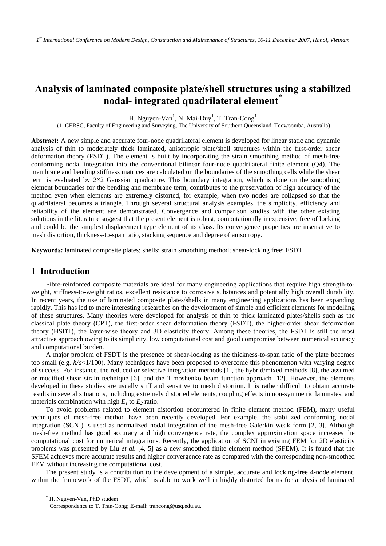# **Analysis of laminated composite plate/shell structures using a stabilized nodal- integrated quadrilateral element[\\*](#page-0-0)**

H. Nguyen-Van<sup>1</sup>, N. Mai-Duy<sup>1</sup>, T. Tran-Cong<sup>1</sup>

(1. CERSC, Faculty of Engineering and Surveying, The University of Southern Queensland, Toowoomba, Australia)

**Abstract:** A new simple and accurate four-node quadrilateral element is developed for linear static and dynamic analysis of thin to moderately thick laminated, anisotropic plate/shell structures within the first-order shear deformation theory (FSDT). The element is built by incorporating the strain smoothing method of mesh-free conforming nodal integration into the conventional bilinear four-node quadrilateral finite element (Q4). The membrane and bending stiffness matrices are calculated on the boundaries of the smoothing cells while the shear term is evaluated by  $2\times2$  Gaussian quadrature. This boundary integration, which is done on the smoothing element boundaries for the bending and membrane term, contributes to the preservation of high accuracy of the method even when elements are extremely distorted, for example, when two nodes are collapsed so that the quadrilateral becomes a triangle. Through several structural analysis examples, the simplicity, efficiency and reliability of the element are demonstrated. Convergence and comparison studies with the other existing solutions in the literature suggest that the present element is robust, computationally inexpensive, free of locking and could be the simplest displacement type element of its class. Its convergence properties are insensitive to mesh distortion, thickness-to-span ratio, stacking sequence and degree of anisotropy.

**Keywords:** laminated composite plates; shells; strain smoothing method; shear-locking free; FSDT.

### **1 Introduction**

Fibre-reinforced composite materials are ideal for many engineering applications that require high strength-toweight, stiffness-to-weight ratios, excellent resistance to corrosive substances and potentially high overall durability. In recent years, the use of laminated composite plates/shells in many engineering applications has been expanding rapidly. This has led to more interesting researches on the development of simple and efficient elements for modelling of these structures. Many theories were developed for analysis of thin to thick laminated plates/shells such as the classical plate theory (CPT), the first-order shear deformation theory (FSDT), the higher-order shear deformation theory (HSDT), the layer-wise theory and 3D elasticity theory. Among these theories, the FSDT is still the most attractive approach owing to its simplicity, low computational cost and good compromise between numerical accuracy and computational burden.

A major problem of FSDT is the presence of shear-locking as the thickness-to-span ratio of the plate becomes too small (e.g. *h/a*<1/100). Many techniques have been proposed to overcome this phenomenon with varying degree of success. For instance, the reduced or selective integration methods [1], the hybrid/mixed methods [8], the assumed or modified shear strain technique [6], and the Timoshenko beam function approach [12]. However, the elements developed in these studies are usually stiff and sensitive to mesh distortion. It is rather difficult to obtain accurate results in several situations, including extremely distorted elements, coupling effects in non-symmetric laminates, and materials combination with high  $E_1$  to  $E_2$  ratio.

To avoid problems related to element distortion encountered in finite element method (FEM), many useful techniques of mesh-free method have been recently developed. For example, the stabilized conforming nodal integration (SCNI) is used as normalized nodal integration of the mesh-free Galerkin weak form [2, 3]. Although mesh-free method has good accuracy and high convergence rate, the complex approximation space increases the computational cost for numerical integrations. Recently, the application of SCNI in existing FEM for 2D elasticity problems was presented by Liu *et al.* [4, 5] as a new smoothed finite element method (SFEM). It is found that the SFEM achieves more accurate results and higher convergence rate as compared with the corresponding non-smoothed FEM without increasing the computational cost.

The present study is a contribution to the development of a simple, accurate and locking-free 4-node element, within the framework of the FSDT, which is able to work well in highly distorted forms for analysis of laminated

<span id="page-0-0"></span> <sup>\*</sup> H. Nguyen-Van, PhD student

Correspondence to T. Tran-Cong; E-mail: trancong@usq.edu.au.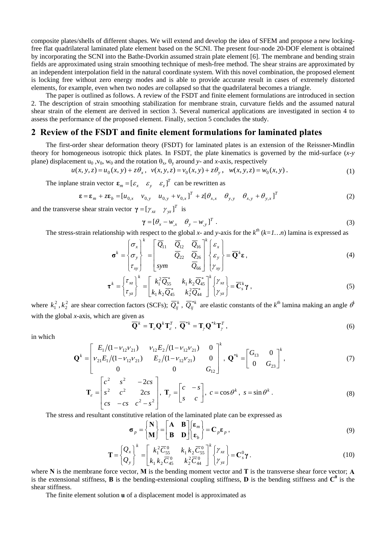composite plates/shells of different shapes. We will extend and develop the idea of SFEM and propose a new lockingfree flat quadrilateral laminated plate element based on the SCNI. The present four-node 20-DOF element is obtained by incorporating the SCNI into the Bathe-Dvorkin assumed strain plate element [6]. The membrane and bending strain fields are approximated using strain smoothing technique of mesh-free method. The shear strains are approximated by an independent interpolation field in the natural coordinate system. With this novel combination, the proposed element is locking free without zero energy modes and is able to provide accurate result in cases of extremely distorted elements, for example, even when two nodes are collapsed so that the quadrilateral becomes a triangle.

The paper is outlined as follows. A review of the FSDT and finite element formulations are introduced in section 2. The description of strain smoothing stabilization for membrane strain, curvature fields and the assumed natural shear strain of the element are derived in section 3. Several numerical applications are investigated in section 4 to assess the performance of the proposed element. Finally, section 5 concludes the study.

### **2 Review of the FSDT and finite element formulations for laminated plates**

The first-order shear deformation theory (FSDT) for laminated plates is an extension of the Reissner-Mindlin theory for homogeneous isotropic thick plates. In FSDT, the plate kinematics is governed by the mid-surface (*x-y*  plane) displacement  $u_0$ ,  $v_0$ ,  $w_0$  and the rotation  $\theta_x$ ,  $\theta_y$  around *y*- and *x*-axis, respectively

$$
u(x, y, z) = u_0(x, y) + z\theta_x, \quad v(x, y, z) = v_0(x, y) + z\theta_y, \quad w(x, y, z) = w_0(x, y).
$$
 (1)

The inplane strain vector  $\mathbf{\varepsilon}_m = [\varepsilon_x \quad \varepsilon_y \quad \varepsilon_z]^T$  can be rewritten as

$$
\mathbf{\varepsilon} = \mathbf{\varepsilon}_m + z \mathbf{\varepsilon}_b = [u_{0,x} \quad v_{0,y} \quad u_{0,y} + v_{0,x}]^T + z [\theta_{x,x} \quad \theta_{y,y} \quad \theta_{x,y} + \theta_{y,x}]^T
$$
(2)

and the transverse shear strain vector  $\gamma = [\gamma_{xz} \quad \gamma_{yz}]^T$  is

$$
\gamma = [\theta_x - w_{,x} \quad \theta_y - w_{,y}]^T. \tag{3}
$$

The stress-strain relationship with respect to the global *x*- and *y*-axis for the  $k^{th}$  ( $k=1...n$ ) lamina is expressed as

$$
\boldsymbol{\sigma}^{k} = \begin{Bmatrix} \sigma_{x} \\ \sigma_{y} \\ \tau_{xy} \end{Bmatrix}^{k} = \begin{bmatrix} \overline{Q}_{11} & \overline{Q}_{12} & \overline{Q}_{16} \\ \overline{Q}_{22} & \overline{Q}_{26} \\ \overline{Q}_{90} & \overline{Q}_{66} \end{bmatrix}^{k} \begin{Bmatrix} \varepsilon_{x} \\ \varepsilon_{y} \\ \gamma_{xy} \end{Bmatrix} = \overline{\mathbf{Q}}^{k} \boldsymbol{\epsilon}, \qquad (4)
$$

$$
\boldsymbol{\tau}^{k} = \begin{Bmatrix} \tau_{xz} \\ \tau_{yz} \end{Bmatrix}^{k} = \begin{bmatrix} k_{1}^{2} \overline{Q}_{55}^{*} & k_{1} k_{2} \overline{Q}_{45}^{*} \\ k_{1} k_{2} \overline{Q}_{45}^{*} & k_{2}^{2} \overline{Q}_{44}^{*} \end{bmatrix}^{k} \begin{Bmatrix} \gamma_{xz} \\ \gamma_{yz} \end{Bmatrix} = \overline{\mathbf{C}}_{s}^{k} \gamma , \qquad (5)
$$

where  $k_1^2$ ,  $k_2^2$  are shear correction factors (SCFs);  $\overline{Q}_{ij}^k$ ,  $\overline{Q}_{ij}^{*k}$  are elastic constants of the  $k^{th}$  lamina making an angle  $\theta$ with the global *x-*axis, which are given as

$$
\overline{\mathbf{Q}}^k = \mathbf{T}_{\varepsilon} \mathbf{Q}^k \mathbf{T}_{\varepsilon}^T, \ \overline{\mathbf{Q}}^{*k} = \mathbf{T}_{\gamma} \mathbf{Q}^{*k} \mathbf{T}_{\gamma}^T,
$$
\n(6)

in which

$$
\mathbf{Q}^{k} = \begin{bmatrix} E_1/(1 - \nu_{12}\nu_{21}) & \nu_{12}E_2/(1 - \nu_{12}\nu_{21}) & 0 \\ \nu_{21}E_1/(1 - \nu_{12}\nu_{21}) & E_2/(1 - \nu_{12}\nu_{21}) & 0 \\ 0 & 0 & G_{12} \end{bmatrix}^{k}, \quad \mathbf{Q}^{*k} = \begin{bmatrix} G_{13} & 0 \\ 0 & G_{23} \end{bmatrix}^{k},
$$
 (7)

$$
\mathbf{T}_{\varepsilon} = \begin{bmatrix} c^2 & s^2 & -2cs \\ s^2 & c^2 & 2cs \\ cs & -cs & c^2 - s^2 \end{bmatrix}, \ \mathbf{T}_{\gamma} = \begin{bmatrix} c & -s \\ s & c \end{bmatrix}, \ c = \cos \theta^k, \ s = \sin \theta^k.
$$
 (8)

The stress and resultant constitutive relation of the laminated plate can be expressed as

$$
\boldsymbol{\sigma}_p = \begin{Bmatrix} \mathbf{N} \\ \mathbf{M} \end{Bmatrix} = \begin{bmatrix} \mathbf{A} & \mathbf{B} \\ \mathbf{B} & \mathbf{D} \end{bmatrix} \begin{Bmatrix} \boldsymbol{\varepsilon}_m \\ \boldsymbol{\varepsilon}_b \end{Bmatrix} = \mathbf{C}_p \boldsymbol{\varepsilon}_p ,
$$
 (9)

$$
\mathbf{T} = \begin{Bmatrix} Q_x \\ Q_y \end{Bmatrix}^k = \begin{bmatrix} k_1^2 \overline{C}_{55}^0 & k_1 k_2 \overline{C}_{55}^0 \\ k_1 k_2 \overline{C}_{45}^0 & k_2^2 \overline{C}_{44}^0 \end{bmatrix}^k \begin{Bmatrix} \gamma_{xz} \\ \gamma_{yz} \end{Bmatrix} = \mathbf{C}_s^0 \gamma \,.
$$
 (10)

where **N** is the membrane force vector, **M** is the bending moment vector and **T** is the transverse shear force vector; **A** is the extensional stiffness, **B** is the bending-extensional coupling stiffness, **D** is the bending stiffness and  $C^0$  is the shear stiffness.

The finite element solution **u** of a displacement model is approximated as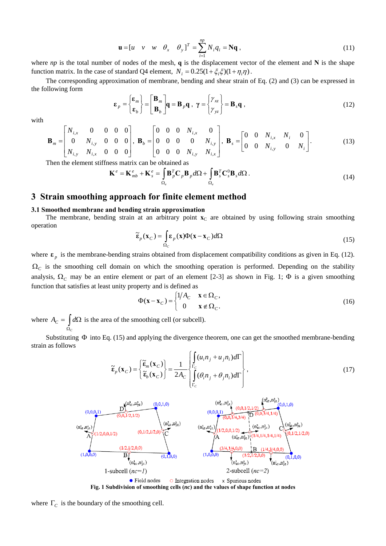$$
\mathbf{u} = [u \quad v \quad w \quad \theta_x \quad \theta_y]^T = \sum_{i=1}^{np} N_i q_i = \mathbf{N} \mathbf{q} \,, \tag{11}
$$

where *np* is the total number of nodes of the mesh, **q** is the displacement vector of the element and  $N$  is the shape function matrix. In the case of standard Q4 element,  $N_i = 0.25(1 + \xi_i \xi)(1 + \eta_i \eta)$ .

The corresponding approximation of membrane, bending and shear strain of Eq. (2) and (3) can be expressed in the following form

$$
\boldsymbol{\varepsilon}_p = \begin{Bmatrix} \boldsymbol{\varepsilon}_m \\ \boldsymbol{\varepsilon}_b \end{Bmatrix} = \begin{bmatrix} \mathbf{B}_m \\ \mathbf{B}_b \end{bmatrix} \mathbf{q} = \mathbf{B}_p \mathbf{q} \ , \ \gamma = \begin{Bmatrix} \gamma_{xz} \\ \gamma_{yz} \end{Bmatrix} = \mathbf{B}_s \mathbf{q} \ , \tag{12}
$$

with

$$
\mathbf{B}_{m} = \begin{bmatrix} N_{i,x} & 0 & 0 & 0 & 0 \\ 0 & N_{i,y} & 0 & 0 & 0 \\ N_{i,y} & N_{i,x} & 0 & 0 & 0 \end{bmatrix}, \ \mathbf{B}_{b} = \begin{bmatrix} 0 & 0 & 0 & N_{i,x} & 0 \\ 0 & 0 & 0 & 0 & N_{i,y} \\ 0 & 0 & 0 & N_{i,y} & N_{i,x} \end{bmatrix}, \ \mathbf{B}_{s} = \begin{bmatrix} 0 & 0 & N_{i,x} & N_{i} & 0 \\ 0 & 0 & N_{i,y} & 0 & N_{i} \end{bmatrix}.
$$
 (13)

Then the element stiffness matrix can be obtained as

$$
\mathbf{K}^{e} = \mathbf{K}_{mb}^{e} + \mathbf{K}_{s}^{e} = \int_{\Omega_{e}} \mathbf{B}_{p}^{T} \mathbf{C}_{p} \mathbf{B}_{p} d\Omega + \int_{\Omega_{e}} \mathbf{B}_{s}^{T} \mathbf{C}_{s}^{0} \mathbf{B}_{s} d\Omega.
$$
 (14)

### **3 Strain smoothing approach for finite element method**

#### **3.1 Smoothed membrane and bending strain approximation**

The membrane, bending strain at an arbitrary point  $\mathbf{x}_C$  are obtained by using following strain smoothing operation

$$
\widetilde{\mathbf{\varepsilon}}_p(\mathbf{x}_C) = \int_{\Omega_C} \mathbf{\varepsilon}_p(\mathbf{x}) \Phi(\mathbf{x} - \mathbf{x}_C) d\Omega \tag{15}
$$

where  $\epsilon_p$  is the membrane-bending strains obtained from displacement compatibility conditions as given in Eq. (12).  $\Omega_c$  is the smoothing cell domain on which the smoothing operation is performed. Depending on the stability analysis,  $\Omega_c$  may be an entire element or part of an element [2-3] as shown in Fig. 1;  $\Phi$  is a given smoothing function that satisfies at least unity property and is defined as

$$
\Phi(\mathbf{x} - \mathbf{x}_C) = \begin{cases} 1/A_C & \mathbf{x} \in \Omega_C, \\ 0 & \mathbf{x} \notin \Omega_C. \end{cases}
$$
(16)

where  $A_C = \int d\Omega$  is the area of the smoothing cell (or subcell). Ω *C*

Substituting Φ into Eq. (15) and applying the divergence theorem, one can get the smoothed membrane-bending strain as follows

$$
\widetilde{\mathbf{\varepsilon}}_p(\mathbf{x}_C) = \begin{cases} \widetilde{\mathbf{\varepsilon}}_m(\mathbf{x}_C) \\ \widetilde{\mathbf{\varepsilon}}_b(\mathbf{x}_C) \end{cases} = \frac{1}{2A_C} \begin{cases} \int_{\Gamma_C} (u_i n_j + u_j n_i) d\Gamma \\ \int_{\Gamma_C} (\theta_i n_j + \theta_j n_i) d\Gamma \\ \Gamma_C \end{cases},
$$
\n(17)



**Fig. 1 Subdivision of smoothing cells (***nc***) and the values of shape function at nodes** 

where  $\Gamma_c$  is the boundary of the smoothing cell.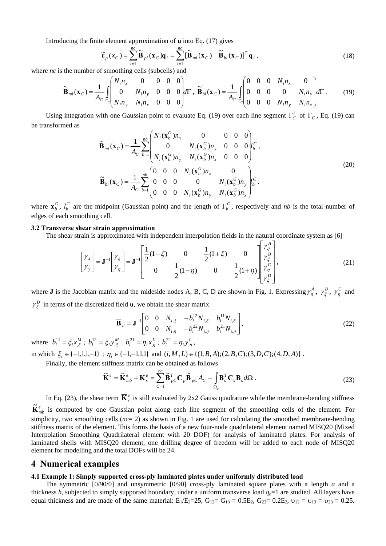Introducing the finite element approximation of **u** into Eq. (17) gives

$$
\widetilde{\mathbf{\varepsilon}}_p(x_C) = \sum_{i=1}^{nc} \widetilde{\mathbf{B}}_{pi}(\mathbf{x}_C) \mathbf{q}_i = \sum_{i=1}^{nc} [\widetilde{\mathbf{B}}_{mi}(\mathbf{x}_C) \quad \widetilde{\mathbf{B}}_{bi}(\mathbf{x}_C)]^T \mathbf{q}_i,
$$
\n(18)

where *nc* is the number of smoothing cells (subcells) and

$$
\widetilde{\mathbf{B}}_{mi}(\mathbf{x}_C) = \frac{1}{A_C} \int_{\Gamma_C} \begin{pmatrix} N_i n_x & 0 & 0 & 0 & 0 \\ 0 & N_i n_y & 0 & 0 & 0 \\ N_i n_y & N_i n_x & 0 & 0 & 0 \end{pmatrix} d\Gamma, \ \widetilde{\mathbf{B}}_{bi}(\mathbf{x}_C) = \frac{1}{A_C} \int_{\Gamma_C} \begin{pmatrix} 0 & 0 & 0 & N_i n_x & 0 \\ 0 & 0 & 0 & 0 & N_i n_y \\ 0 & 0 & 0 & N_i n_y & N_i n_x \end{pmatrix} d\Gamma.
$$
 (19)

Using integration with one Gaussian point to evaluate Eq. (19) over each line segment  $\Gamma_c^i$  of  $\Gamma_c$ , Eq. (19) can be transformed as

$$
\widetilde{\mathbf{B}}_{mi}(\mathbf{x}_{C}) = \frac{1}{A_{C}} \sum_{b=1}^{nb} \begin{pmatrix} N_{i}(\mathbf{x}_{b}^{G})n_{x} & 0 & 0 & 0 & 0 \\ 0 & N_{i}(\mathbf{x}_{b}^{G})n_{y} & 0 & 0 & 0 \\ N_{i}(\mathbf{x}_{b}^{G})n_{y} & N_{i}(\mathbf{x}_{b}^{G})n_{x} & 0 & 0 & 0 \end{pmatrix} l_{b}^{C},
$$
\n
$$
\widetilde{\mathbf{B}}_{bi}(\mathbf{x}_{C}) = \frac{1}{A_{C}} \sum_{b=1}^{nb} \begin{pmatrix} 0 & 0 & 0 & N_{i}(\mathbf{x}_{b}^{G})n_{x} & 0 \\ 0 & 0 & 0 & N_{i}(\mathbf{x}_{b}^{G})n_{y} & 0 \\ 0 & 0 & 0 & N_{i}(\mathbf{x}_{b}^{G})n_{y} & N_{i}(\mathbf{x}_{b}^{G})n_{x} \end{pmatrix} l_{b}^{C}.
$$
\n(20)

where  $\mathbf{x}_{b}^{G}$ ,  $l_{b}^{C}$  are the midpoint (Gaussian point) and the length of  $\Gamma_{b}^{C}$ , respectively and *nb* is the total number of edges of each smoothing cell.

#### **3.2 Transverse shear strain approximation**

The shear strain is approximated with independent interpolation fields in the natural coordinate system as [6]

$$
\begin{bmatrix} \gamma_x \\ \gamma_y \end{bmatrix} = \mathbf{J}^{-1} \begin{bmatrix} \gamma_{\xi} \\ \gamma_{\eta} \end{bmatrix} = \mathbf{J}^{-1} \begin{bmatrix} \frac{1}{2} (1 - \xi) & 0 & \frac{1}{2} (1 + \xi) & 0 \\ 0 & \frac{1}{2} (1 - \eta) & 0 & \frac{1}{2} (1 + \eta) \end{bmatrix} \begin{bmatrix} \gamma_{\eta}^A \\ \gamma_{\xi}^B \\ \gamma_{\eta}^C \\ \gamma_{\xi}^D \end{bmatrix},
$$
(21)

where **J** is the Jacobian matrix and the mideside nodes A, B, C, D are shown in Fig. 1. Expressing  $\gamma^A_\eta$ ,  $\gamma^B_\xi$ ,  $\gamma^C_\eta$  and  $\gamma_{\xi}^{D}$  in terms of the discretized field **u**, we obtain the shear matrix

$$
\overline{\mathbf{B}}_{si} = \mathbf{J}^{-1} \begin{bmatrix} 0 & 0 & N_{i,\xi} & -b_i^{12} N_{i,\xi} & b_i^{11} N_{i,\xi} \\ 0 & 0 & N_{i,\eta} & -b_i^{22} N_{i,\eta} & b_i^{21} N_{i,\eta} \end{bmatrix},
$$
\n(22)

where  $b_i^{11} = \xi_i x_{i,\xi}^M$ ;  $b_i^{12} = \xi_i y_{i,\xi}^M$ ;  $b_i^{21} = \eta_i x_{i,\eta}^L$ ;  $b_i^{22} = \eta_i y_{i,\eta}^L$ ,

in which  $\xi_i \in \{-1,1,1,-1\}$ ;  $\eta_i \in \{-1,-1,1,1\}$  and  $(i, M, L) \in \{(1, B, A); (2, B, C); (3, D, C); (4, D, A)\}$ .

Finally, the element stiffness matrix can be obtained as follows

$$
\widetilde{\mathbf{K}}^e = \widetilde{\mathbf{K}}_{mb}^e + \overline{\mathbf{K}}_s^e = \sum_{C=1}^{nc} \widetilde{\mathbf{B}}_{pC}^T \mathbf{C}_p \widetilde{\mathbf{B}}_{pC} A_C + \int_{\Omega_e} \overline{\mathbf{B}}_s^T \mathbf{C}_s \overline{\mathbf{B}}_s d\Omega.
$$
 (23)

In Eq. (23), the shear term  $\overline{\mathbf{K}}_s^e$  is still evaluated by 2x2 Gauss quadrature while the membrane-bending stiffness  $\tilde{\mathbf{K}}_{mb}^e$  is computed by one Gaussian point along each line segment of the smoothing cells of the element. For simplicity, two smoothing cells (*nc*= 2) as shown in Fig. 1 are used for calculating the smoothed membrane-bending stiffness matrix of the element. This forms the basis of a new four-node quadrilateral element named MISQ20 (Mixed Interpolation Smoothing Quadrilateral element with 20 DOF) for analysis of laminated plates. For analysis of laminated shells with MISQ20 element, one drilling degree of freedom will be added to each node of MISQ20 element for modelling and the total DOFs will be 24.

### **4 Numerical examples**

#### **4.1 Example 1: Simply supported cross-ply laminated plates under uniformly distributed load**

The symmetric [0/90/0] and unsymmetric [0/90] cross-ply laminated square plates with a length *a* and a thickness *h*, subjected to simply supported boundary, under a uniform transverse load  $q_o=1$  are studied. All layers have equal thickness and are made of the same material:  $E_1/E_2=25$ ,  $G_{12}=G_{13}=0.5E_2$ ,  $G_{23}=0.2E_2$ ,  $v_{12}=v_{13}=v_{23}=0.25$ .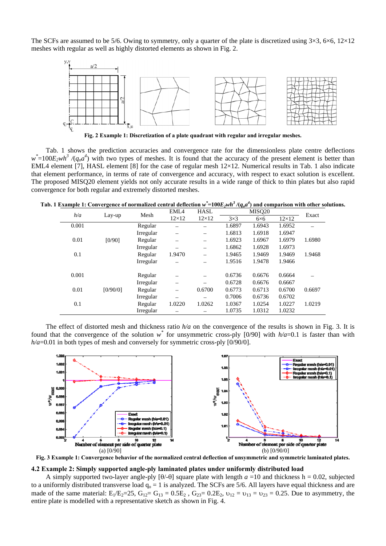The SCFs are assumed to be 5/6. Owing to symmetry, only a quarter of the plate is discretized using  $3\times3$ ,  $6\times6$ ,  $12\times12$ meshes with regular as well as highly distorted elements as shown in Fig. 2.



**Fig. 2 Example 1: Discretization of a plate quadrant with regular and irregular meshes.** 

Tab. 1 shows the prediction accuracies and convergence rate for the dimensionless plate centre deflections  $w^*$ =100*E<sub>2</sub>wh<sup>3</sup>* /(*q<sub>o</sub>a*<sup>4</sup>) with two types of meshes. It is found that the accuracy of the present element is better than EML4 element [7], HASL element [8] for the case of regular mesh 12×12. Numerical results in Tab. 1 also indicate that element performance, in terms of rate of convergence and accuracy, with respect to exact solution is excellent. The proposed MISQ20 element yields not only accurate results in a wide range of thick to thin plates but also rapid convergence for both regular and extremely distorted meshes.

|  |  |  | Tab. 1 Example 1: Convergence of normalized central deflection $w^* = 100E_2wh^3/(q_oa^4)$ and comparison with other solutions. |
|--|--|--|---------------------------------------------------------------------------------------------------------------------------------|
|--|--|--|---------------------------------------------------------------------------------------------------------------------------------|

| h/a   | Lay-up   | Mesh      | EML <sub>4</sub> | <b>HASL</b>  | MISO <sub>20</sub> |             |              | Exact  |
|-------|----------|-----------|------------------|--------------|--------------------|-------------|--------------|--------|
|       |          |           | $12\times12$     | $12\times12$ | $3\times3$         | $6\times 6$ | $12\times12$ |        |
| 0.001 |          | Regular   |                  | -            | 1.6897             | 1.6943      | 1.6952       |        |
|       |          | Irregular |                  |              | 1.6813             | 1.6918      | 1.6947       |        |
| 0.01  | [0/90]   | Regular   |                  | –            | 1.6923             | 1.6967      | 1.6979       | 1.6980 |
|       |          | Irregular |                  |              | 1.6862             | 1.6928      | 1.6973       |        |
| 0.1   |          | Regular   | 1.9470           |              | 1.9465             | 1.9469      | 1.9469       | 1.9468 |
|       |          | Irregular |                  |              | 1.9516             | 1.9478      | 1.9466       |        |
| 0.001 |          | Regular   |                  |              | 0.6736             | 0.6676      | 0.6664       |        |
|       |          | Irregular |                  |              | 0.6728             | 0.6676      | 0.6667       |        |
| 0.01  | [0/90/0] | Regular   |                  | 0.6700       | 0.6773             | 0.6713      | 0.6700       | 0.6697 |
|       |          | Irregular |                  |              | 0.7006             | 0.6736      | 0.6702       |        |
| 0.1   |          | Regular   | 1.0220           | 1.0262       | 1.0367             | 1.0254      | 1.0227       | 1.0219 |
|       |          | Irregular |                  |              | 1.0735             | 1.0312      | 1.0232       |        |

The effect of distorted mesh and thickness ratio *h/a* on the convergence of the results is shown in Fig. 3. It is found that the convergence of the solution  $w^*$  for unsymmetric cross-ply [0/90] with  $h/a=0.1$  is faster than with *h/a*=0.01 in both types of mesh and conversely for symmetric cross-ply [0/90/0].



**Fig. 3 Example 1: Convergence behavior of the normalized central deflection of unsymmetric and symmetric laminated plates.** 

#### **4.2 Example 2: Simply supported angle-ply laminated plates under uniformly distributed load**

A simply supported two-layer angle-ply  $[\theta/\theta]$  square plate with length  $a = 10$  and thickness h = 0.02, subjected to a uniformly distributed transverse load  $q_0 = 1$  is analyzed. The SCFs are 5/6. All layers have equal thickness and are made of the same material:  $E_1/E_2=25$ ,  $G_{12}= G_{13}=0.5E_2$ ,  $G_{23}=0.2E_2$ ,  $v_{12}=v_{13}=v_{23}=0.25$ . Due to asymmetry, the entire plate is modelled with a representative sketch as shown in Fig. 4.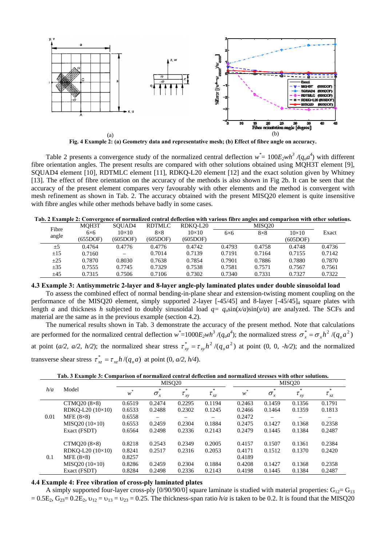

**Fig. 4 Example 2: (a) Geometry data and representative mesh; (b) Effect of fibre angle on accuracy.** 

Table 2 presents a convergence study of the normalized central deflection  $w^* = 100E_2wh^3/(q_o a^4)$  with different fibre orientation angles. The present results are compared with other solutions obtained using MQH3T element [9], SQUAD4 element [10], RDTMLC element [11], RDKQ-L20 element [12] and the exact solution given by Whitney [13]. The effect of fibre orientation on the accuracy of the methods is also shown in Fig 2b. It can be seen that the accuracy of the present element compares very favourably with other elements and the method is convergent with mesh refinement as shown in Tab. 2. The accuracy obtained with the present MISQ20 element is quite insensitive with fibre angles while other methods behave badly in some cases.

|  |  | Tab. 2 Example 2: Convergence of normalized central deflection with various fibre angles and comparison with other solutions. |  |  |  |
|--|--|-------------------------------------------------------------------------------------------------------------------------------|--|--|--|
|  |  |                                                                                                                               |  |  |  |
|  |  |                                                                                                                               |  |  |  |
|  |  |                                                                                                                               |  |  |  |

| Fibre    | MOH3T       | SOUAD4       | <b>RDTMLC</b> | RDKO-L20     |             | MISO <sub>20</sub> |              |        |
|----------|-------------|--------------|---------------|--------------|-------------|--------------------|--------------|--------|
|          | $6\times 6$ | $10\times10$ | $8\times8$    | $10\times10$ | $6\times 6$ | $8\times8$         | $10\times10$ | Exact  |
| angle    | (655DOF)    | (605DOF)     | (605DOF)      | (605DOF)     |             |                    | (605DOF)     |        |
| ±5       | 0.4764      | 0.4776       | 0.4776        | 0.4742       | 0.4793      | 0.4758             | 0.4748       | 0.4736 |
| $\pm 15$ | 0.7160      |              | 0.7014        | 0.7139       | 0.7191      | 0.7164             | 0.7155       | 0.7142 |
| $\pm 25$ | 0.7870      | 0.8030       | 0.7638        | 0.7854       | 0.7901      | 0.7886             | 0.7880       | 0.7870 |
| $\pm 35$ | 0.7555      | 0.7745       | 0.7329        | 0.7538       | 0.7581      | 0.7571             | 0.7567       | 0.7561 |
| ±45      | 0.7315      | 0.7506       | 0.7106        | 0.7302       | 0.7340      | 0.7331             | 0.7327       | 0.7322 |

**4.3 Example 3: Antisymmetric 2-layer and 8-layer angle-ply laminated plates under double sinusoidal load**  To assess the combined effect of normal bending-in-plane shear and extension-twisting moment coupling on the performance of the MISQ20 element, simply supported 2-layer [-45/45] and 8-layer [-45/45]<sub>4</sub> square plates with length *a* and thickness *h* subjected to doubly sinusoidal load  $q = a_s \sin(x/a) \sin(y/a)$  are analyzed. The SCFs and material are the same as in the previous example (section 4.2).

The numerical results shown in Tab. 3 demonstrate the accuracy of the present method. Note that calculations are performed for the normalized central deflection  $w^* = 1000E_2wh^3/(q_oa^4)$ ; the normalized stress  $\sigma_x^* = \sigma_x h^2/(q_oa^2)$ at point (*a/2, a/2, h/2*); the normalized shear stress  $\tau_{xy}^* = \tau_{xy}h^2/(q_o a^2)$  at point (0, 0, -h/2); and the normalized transverse shear stress  $\tau_{xx}^* = \tau_{xx} h / (q_a a)$  at point (0,  $a/2$ ,  $h/4$ ).

| Tab. 3 Example 3: Comparison of normalized central deflection and normalized stresses with other solutions. |
|-------------------------------------------------------------------------------------------------------------|
|-------------------------------------------------------------------------------------------------------------|

|      |                         | MISO <sub>20</sub> |                       |                       | MISO <sub>20</sub>          |          |                       |             |                                |
|------|-------------------------|--------------------|-----------------------|-----------------------|-----------------------------|----------|-----------------------|-------------|--------------------------------|
| h/a  | Model                   | $*$<br>w           | *<br>$\sigma_{\rm x}$ | $\ast$<br>$\tau_{xy}$ | $*$<br>$\tau_{\mathrm{xz}}$ | - 本<br>w | *<br>$\sigma_{\rm x}$ | $\tau_{xy}$ | $\ast$<br>$\tau_{\mathrm{xz}}$ |
|      | CTMQ20 $(8\times8)$     | 0.6519             | 0.2474                | 0.2295                | 0.1194                      | 0.2463   | 0.1459                | 0.1356      | 0.1791                         |
|      | $RDKO-L20 (10\times10)$ | 0.6533             | 0.2488                | 0.2302                | 0.1245                      | 0.2466   | 0.1464                | 0.1359      | 0.1813                         |
| 0.01 | MFE $(8\times8)$        | 0.6558             |                       |                       |                             | 0.2472   |                       |             |                                |
|      | $MISO20 (10\times10)$   | 0.6553             | 0.2459                | 0.2304                | 0.1884                      | 0.2475   | 0.1427                | 0.1368      | 0.2358                         |
|      | Exact (FSDT)            | 0.6564             | 0.2498                | 0.2336                | 0.2143                      | 0.2479   | 0.1445                | 0.1384      | 0.2487                         |
|      | CTMQ20 $(8\times8)$     | 0.8218             | 0.2543                | 0.2349                | 0.2005                      | 0.4157   | 0.1507                | 0.1361      | 0.2384                         |
|      | $RDKO-L20 (10\times10)$ | 0.8241             | 0.2517                | 0.2316                | 0.2053                      | 0.4171   | 0.1512                | 0.1370      | 0.2420                         |
| 0.1  | MFE $(8\times8)$        | 0.8257             |                       |                       |                             | 0.4189   |                       |             |                                |
|      | $MISO20 (10\times10)$   | 0.8286             | 0.2459                | 0.2304                | 0.1884                      | 0.4208   | 0.1427                | 0.1368      | 0.2358                         |
|      | Exact (FSDT)            | 0.8284             | 0.2498                | 0.2336                | 0.2143                      | 0.4198   | 0.1445                | 0.1384      | 0.2487                         |

#### **4.4 Example 4: Free vibration of cross-ply laminated plates**

A simply supported four-layer cross-ply  $[0/90/90/0]$  square laminate is studied with material properties:  $G_{12} = G_{13}$  $= 0.5E_2$ ,  $G_{23} = 0.2E_2$ ,  $v_{12} = v_{13} = v_{23} = 0.25$ . The thickness-span ratio  $h/a$  is taken to be 0.2. It is found that the MISQ20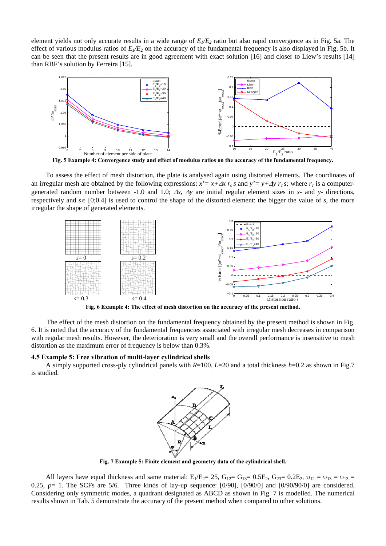element yields not only accurate results in a wide range of  $E_1/E_2$  ratio but also rapid convergence as in Fig. 5a. The effect of various modulus ratios of  $E_1/E_2$  on the accuracy of the fundamental frequency is also displayed in Fig. 5b. It can be seen that the present results are in good agreement with exact solution [16] and closer to Liew's results [14] than RBF's solution by Ferreira [15].



**Fig. 5 Example 4: Convergence study and effect of modulus ratios on the accuracy of the fundamental frequency.** 

To assess the effect of mesh distortion, the plate is analysed again using distorted elements. The coordinates of an irregular mesh are obtained by the following expressions:  $x' = x + \Delta x r_c s$  and  $y' = y + \Delta y r_c s$ ; where  $r_c$  is a computergenerated random number between -1.0 and 1.0; Δ*x*, Δ*y* are initial regular element sizes in *x-* and *y-* directions, respectively and *s*∈ [0;0.4] is used to control the shape of the distorted element: the bigger the value of *s*, the more irregular the shape of generated elements.



**Fig. 6 Example 4: The effect of mesh distortion on the accuracy of the present method.** 

The effect of the mesh distortion on the fundamental frequency obtained by the present method is shown in Fig. 6. It is noted that the accuracy of the fundamental frequencies associated with irregular mesh decreases in comparison with regular mesh results. However, the deterioration is very small and the overall performance is insensitive to mesh distortion as the maximum error of frequency is below than 0.3%.

#### **4.5 Example 5: Free vibration of multi-layer cylindrical shells**

A simply supported cross-ply cylindrical panels with *R*=100, *L*=20 and a total thickness *h*=0.2 as shown in Fig.7 is studied.



**Fig. 7 Example 5: Finite element and geometry data of the cylindrical shell.** 

All layers have equal thickness and same material:  $E_1/E_2 = 25$ ,  $G_{12} = G_{13} = 0.5E_2$ ,  $G_{23} = 0.2E_2$ ,  $v_{12} = v_{13} = v_{13} = 0.5E_2$ 0.25,  $\rho$  = 1. The SCFs are 5/6. Three kinds of lay-up sequence:  $[0/90]$ ,  $[0/90/0]$  and  $[0/90/90/0]$  are considered. Considering only symmetric modes, a quadrant designated as ABCD as shown in Fig. 7 is modelled. The numerical results shown in Tab. 5 demonstrate the accuracy of the present method when compared to other solutions.